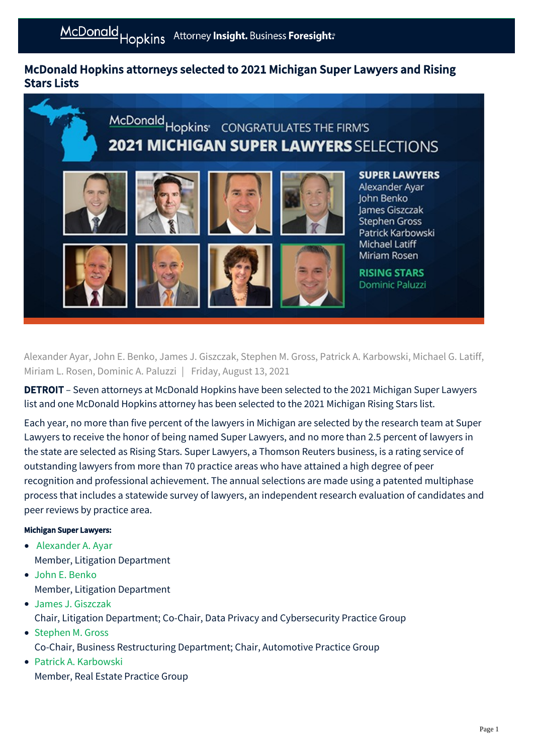## McDonald Hopkins attorneys selected to 2021 Michigan Super Lawyers and Rising Stars Lists



Alexander Ayar, John E. Benko, James J. Giszczak, Stephen M. Gross, Patrick A. Karbowski, Michael G. Latiff, Miriam L. Rosen, Dominic A. Paluzzi | Friday, August 13, 2021

**DETROIT** – Seven attorneys at McDonald Hopkins have been selected to the 2021 Michigan Super Lawyers list and one McDonald Hopkins attorney has been selected to the 2021 Michigan Rising Stars list.

Each year, no more than five percent of the lawyers in Michigan are selected by the research team at Super Lawyers to receive the honor of being named Super Lawyers, and no more than 2.5 percent of lawyers in the state are selected as Rising Stars. Super Lawyers, a Thomson Reuters business, is a rating service of outstanding lawyers from more than 70 practice areas who have attained a high degree of peer recognition and professional achievement. The annual selections are made using a patented multiphase process that includes a statewide survey of lawyers, an independent research evaluation of candidates and peer reviews by practice area.

## Michigan Super Lawyers:

- [Alexander A. Ayar](https://mcdonaldhopkins.com/Team/Attorney/a/Alexander-Ayar) Member, Litigation Department
- [John E. Benko](https://mcdonaldhopkins.com/Team/Attorney/j/John-Benko) Member, Litigation Department
- [James J. Giszczak](https://mcdonaldhopkins.com/Team/Attorney/j/James-Giszczak) Chair, Litigation Department; Co-Chair, Data Privacy and Cybersecurity Practice Group
- [Stephen M. Gross](https://mcdonaldhopkins.com/Team/Attorney/s/Stephen-Gross) Co-Chair, Business Restructuring Department; Chair, Automotive Practice Group
- [Patrick A. Karbowski](https://mcdonaldhopkins.com/Team/Attorney/p/Patrick-Karbowski) Member, Real Estate Practice Group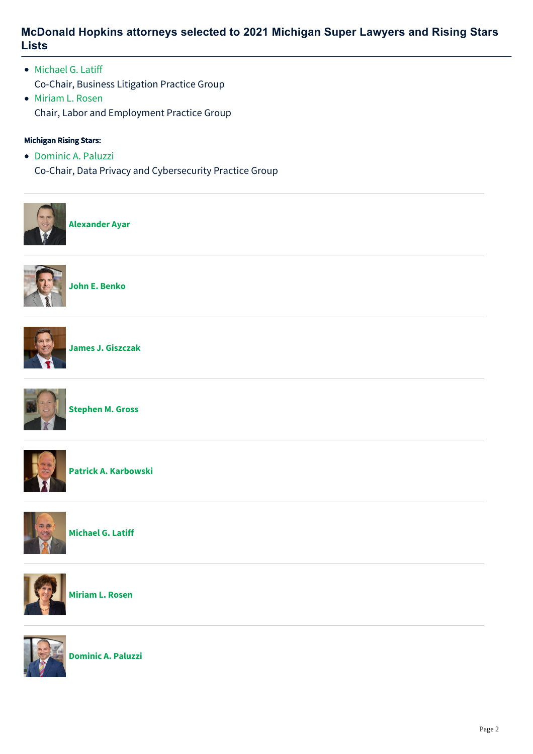## **McDonald Hopkins attorneys selected to 2021 Michigan Super Lawyers and Rising Stars Lists**

- [Michael G. Latiff](https://mcdonaldhopkins.com/Team/Attorney/m/Michael-Latiff) Co-Chair, Business Litigation Practice Group
- [Miriam L. Rosen](https://mcdonaldhopkins.com/Team/Attorney/m/Miriam-Rosen) Chair, Labor and Employment Practice Group

## Michigan Rising Stars:

• [Dominic A. Paluzzi](https://mcdonaldhopkins.com/Team/Attorney/d/Dominic-Paluzzi) Co-Chair, Data Privacy and Cybersecurity Practice Group



**[Alexander Ayar](https://mcdonaldhopkins.com/Team/Attorney/a/Alexander-Ayar)**



**[John E. Benko](https://mcdonaldhopkins.com/Team/Attorney/j/John-Benko)**



**[James J. Giszczak](https://mcdonaldhopkins.com/Team/Attorney/j/James-Giszczak)**



**[Stephen M. Gross](https://mcdonaldhopkins.com/Team/Attorney/s/Stephen-Gross)**



**[Patrick A. Karbowski](https://mcdonaldhopkins.com/Team/Attorney/p/Patrick-Karbowski)**



**[Michael G. Latiff](https://mcdonaldhopkins.com/Team/Attorney/m/Michael-Latiff)**



**[Miriam L. Rosen](https://mcdonaldhopkins.com/Team/Attorney/m/Miriam-Rosen)**



**[Dominic A. Paluzzi](https://mcdonaldhopkins.com/Team/Attorney/d/Dominic-Paluzzi)**